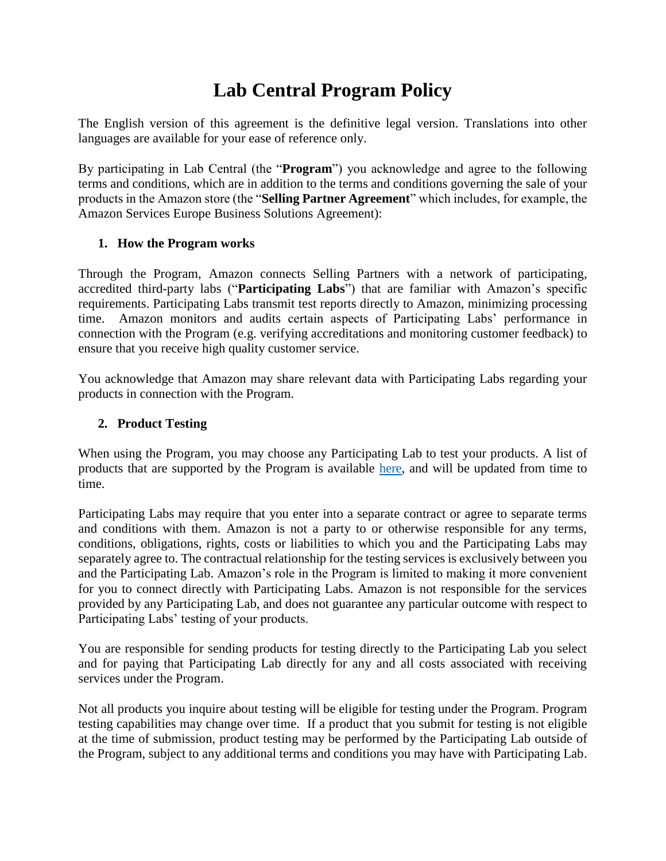# **Lab Central Program Policy**

The English version of this agreement is the definitive legal version. Translations into other languages are available for your ease of reference only.

By participating in Lab Central (the "**Program**") you acknowledge and agree to the following terms and conditions, which are in addition to the terms and conditions governing the sale of your products in the Amazon store (the "**Selling Partner Agreement**" which includes, for example, the Amazon Services Europe Business Solutions Agreement):

## **1. How the Program works**

Through the Program, Amazon connects Selling Partners with a network of participating, accredited third-party labs ("**Participating Labs**") that are familiar with Amazon's specific requirements. Participating Labs transmit test reports directly to Amazon, minimizing processing time. Amazon monitors and audits certain aspects of Participating Labs' performance in connection with the Program (e.g. verifying accreditations and monitoring customer feedback) to ensure that you receive high quality customer service.

You acknowledge that Amazon may share relevant data with Participating Labs regarding your products in connection with the Program.

#### **2. Product Testing**

When using the Program, you may choose any Participating Lab to test your products. A list of products that are supported by the Program is available [here,](https://m.media-amazon.com/images/G/01/Lab_Central/Lab_Central_Product_Categories.xlsx) and will be updated from time to time.

Participating Labs may require that you enter into a separate contract or agree to separate terms and conditions with them. Amazon is not a party to or otherwise responsible for any terms, conditions, obligations, rights, costs or liabilities to which you and the Participating Labs may separately agree to. The contractual relationship for the testing services is exclusively between you and the Participating Lab. Amazon's role in the Program is limited to making it more convenient for you to connect directly with Participating Labs. Amazon is not responsible for the services provided by any Participating Lab, and does not guarantee any particular outcome with respect to Participating Labs' testing of your products.

You are responsible for sending products for testing directly to the Participating Lab you select and for paying that Participating Lab directly for any and all costs associated with receiving services under the Program.

Not all products you inquire about testing will be eligible for testing under the Program. Program testing capabilities may change over time. If a product that you submit for testing is not eligible at the time of submission, product testing may be performed by the Participating Lab outside of the Program, subject to any additional terms and conditions you may have with Participating Lab.